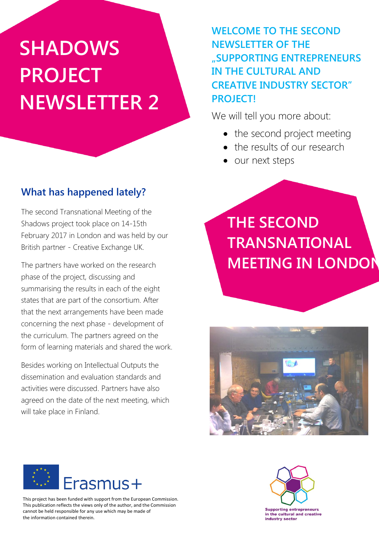# **SHADOWS PROJECT NEWSLETTER 2**

### **What has happened lately?**

The second Transnational Meeting of the Shadows project took place on 14-15th February 2017 in London and was held by our British partner - Creative Exchange UK.

The partners have worked on the research phase of the project, discussing and summarising the results in each of the eight states that are part of the consortium. After that the next arrangements have been made concerning the next phase - development of the curriculum. The partners agreed on the form of learning materials and shared the work.

Besides working on Intellectual Outputs the dissemination and evaluation standards and activities were discussed. Partners have also agreed on the date of the next meeting, which will take place in Finland.

### **WELCOME TO THE SECOND NEWSLETTER OF THE "SUPPORTING ENTREPRENEURS IN THE CULTURAL AND CREATIVE INDUSTRY SECTOR" PROJECT!**

We will tell you more about:

- the second project meeting
- the results of our research
- our next steps

**THE SECOND TRANSNATIONAL MEETING IN LONDON**





This project has been funded with support from the European Commission. This publication reflects the views only of the author, and the Commission cannot be held responsible for any use which may be made of the information contained therein.

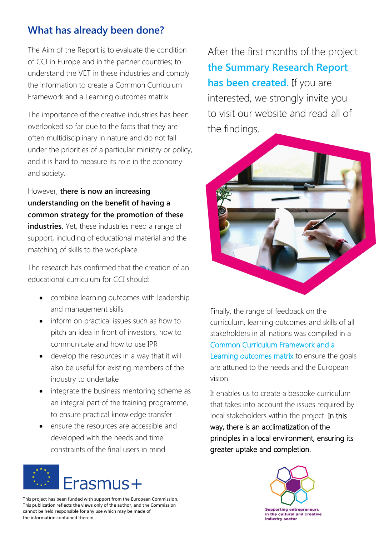### **What has already been done?**

The Aim of the Report is to evaluate the condition of CCI in Europe and in the partner countries; to understand the VET in these industries and comply the information to create a Common Curriculum Framework and a Learning outcomes matrix.

The importance of the creative industries has been overlooked so far due to the facts that they are often multidisciplinary in nature and do not fall under the priorities of a particular ministry or policy, and it is hard to measure its role in the economy and society.

However, **there is now an increasing understanding on the benefit of having a common strategy for the promotion of these industries**. Yet, these industries need a range of support, including of educational material and the matching of skills to the workplace.

The research has confirmed that the creation of an educational curriculum for CCI should:

- combine learning outcomes with leadership and management skills
- inform on practical issues such as how to pitch an idea in front of investors, how to communicate and how to use IPR
- develop the resources in a way that it will also be useful for existing members of the industry to undertake
- integrate the business mentoring scheme as an integral part of the training programme, to ensure practical knowledge transfer
- ensure the resources are accessible and developed with the needs and time constraints of the final users in mind



This project has been funded with support from the European Commission. This publication reflects the views only of the author, and the Commission cannot be held responsible for any use which may be made of the information contained therein.

After the first months of the project **the Summary Research Report has been created.** If you are interested, we strongly invite you to visit our website and read all of the findings.



Finally, the range of feedback on the curriculum, learning outcomes and skills of all stakeholders in all nations was compiled in a Common Curriculum Framework and a Learning outcomes matrix to ensure the goals are attuned to the needs and the European vision.

It enables us to create a bespoke curriculum that takes into account the issues required by local stakeholders within the project. In this way, there is an acclimatization of the principles in a local environment, ensuring its greater uptake and completion.